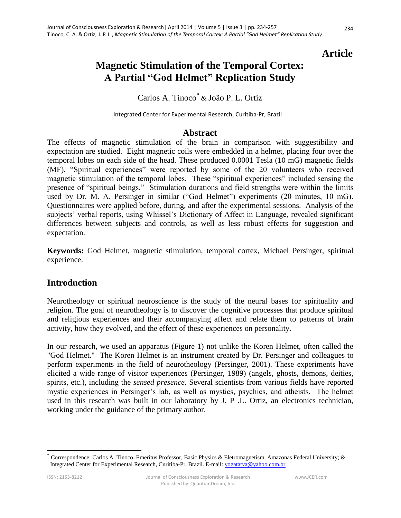## **Article**

# **Magnetic Stimulation of the Temporal Cortex: A Partial "God Helmet" Replication Study**

## Carlos A. Tinoco**\*** & João P. L. Ortiz

Integrated Center for Experimental Research, Curitiba-Pr, Brazil

### **Abstract**

The effects of magnetic stimulation of the brain in comparison with suggestibility and expectation are studied. Eight magnetic coils were embedded in a helmet, placing four over the temporal lobes on each side of the head. These produced 0.0001 Tesla (10 mG) magnetic fields (MF). "Spiritual experiences" were reported by some of the 20 volunteers who received magnetic stimulation of the temporal lobes. These "spiritual experiences" included sensing the presence of "spiritual beings." Stimulation durations and field strengths were within the limits used by Dr. M. A. Persinger in similar ("God Helmet") experiments (20 minutes, 10 mG). Questionnaires were applied before, during, and after the experimental sessions. Analysis of the subjects' verbal reports, using Whissel's Dictionary of Affect in Language, revealed significant differences between subjects and controls, as well as less robust effects for suggestion and expectation.

**Keywords:** God Helmet, magnetic stimulation, temporal cortex, Michael Persinger, spiritual experience.

### **Introduction**

Neurotheology or spiritual neuroscience is the study of the neural bases for spirituality and religion. The goal of neurotheology is to discover the cognitive processes that produce spiritual and religious experiences and their accompanying affect and relate them to patterns of brain activity, how they evolved, and the effect of these experiences on personality.

In our research, we used an apparatus (Figure 1) not unlike the Koren Helmet, often called the "God Helmet." The Koren Helmet is an instrument created by Dr. Persinger and colleagues to perform experiments in the field of neurotheology (Persinger, 2001). These experiments have elicited a wide range of visitor experiences (Persinger, 1989) (angels, ghosts, demons, deities, spirits, etc.), including the *sensed presence*. Several scientists from various fields have reported mystic experiences in Persinger's lab, as well as mystics, psychics, and atheists. The helmet used in this research was built in our laboratory by J. P .L. Ortiz, an electronics technician, working under the guidance of the primary author.

 $\overline{a}$ 

<sup>\*</sup> Correspondence: Carlos A. Tinoco, Emeritus Professor, Basic Physics & Eletromagnetism, Amazonas Federal University; & Integrated Center for Experimental Research, Curitiba-Pr, Brazil. E-mail: [yogatatva@yahoo.com.br](mailto:yogatatva@yahoo.com.br)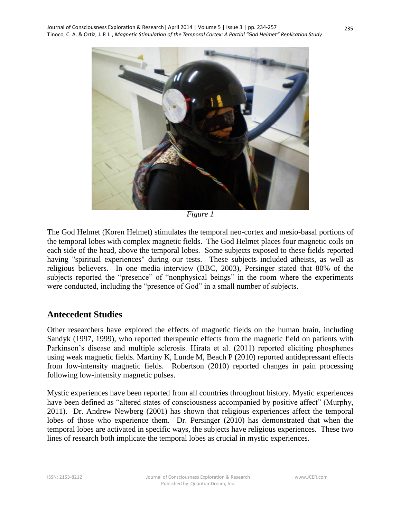

*Figure 1*

The God Helmet (Koren Helmet) stimulates the temporal neo-cortex and mesio-basal portions of the temporal lobes with complex magnetic fields. The God Helmet places four magnetic coils on each side of the head, above the temporal lobes. Some subjects exposed to these fields reported having "spiritual experiences" during our tests. These subjects included atheists, as well as religious believers. In one media interview (BBC, 2003), Persinger stated that 80% of the subjects reported the "presence" of "nonphysical beings" in the room where the experiments were conducted, including the "presence of God" in a small number of subjects.

### **Antecedent Studies**

Other researchers have explored the effects of magnetic fields on the human brain, including Sandyk (1997, 1999), who reported therapeutic effects from the magnetic field on patients with Parkinson's disease and multiple sclerosis. Hirata et al. (2011) reported eliciting phosphenes using weak magnetic fields. Martiny K, Lunde M, Beach P (2010) reported antidepressant effects from low-intensity magnetic fields. Robertson (2010) reported changes in pain processing following low-intensity magnetic pulses.

Mystic experiences have been reported from all countries throughout history. Mystic experiences have been defined as "altered states of consciousness accompanied by positive affect" (Murphy, 2011). Dr. Andrew Newberg (2001) has shown that religious experiences affect the temporal lobes of those who experience them. Dr. Persinger (2010) has demonstrated that when the temporal lobes are activated in specific ways, the subjects have religious experiences. These two lines of research both implicate the temporal lobes as crucial in mystic experiences.

www.JCER.com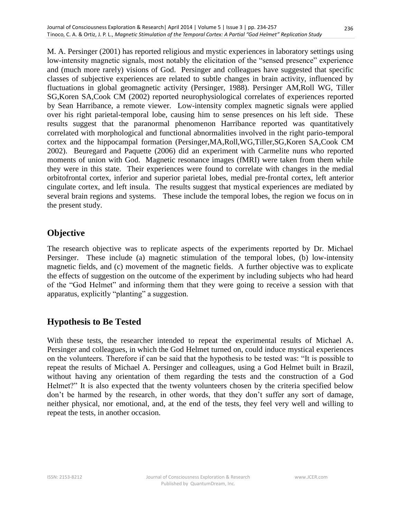M. A. Persinger (2001) has reported religious and mystic experiences in laboratory settings using low-intensity magnetic signals, most notably the elicitation of the "sensed presence" experience and (much more rarely) visions of God. Persinger and colleagues have suggested that specific classes of subjective experiences are related to subtle changes in brain activity, influenced by fluctuations in global geomagnetic activity (Persinger, 1988). Persinger AM,Roll WG, Tiller SG,Koren SA,Cook CM (2002) reported neurophysiological correlates of experiences reported by Sean Harribance, a remote viewer. Low-intensity complex magnetic signals were applied over his right parietal-temporal lobe, causing him to sense presences on his left side. These results suggest that the paranormal phenomenon Harribance reported was quantitatively correlated with morphological and functional abnormalities involved in the right pario-temporal cortex and the hippocampal formation (Persinger,MA,Roll,WG,Tiller,SG,Koren SA,Cook CM 2002). Beuregard and Paquette (2006) did an experiment with Carmelite nuns who reported moments of union with God. Magnetic resonance images (fMRI) were taken from them while they were in this state. Their experiences were found to correlate with changes in the medial orbitofrontal cortex, inferior and superior parietal lobes, medial pre-frontal cortex, left anterior cingulate cortex, and left insula. The results suggest that mystical experiences are mediated by several brain regions and systems. These include the temporal lobes, the region we focus on in the present study.

## **Objective**

The research objective was to replicate aspects of the experiments reported by Dr. Michael Persinger. These include (a) magnetic stimulation of the temporal lobes, (b) low-intensity magnetic fields, and (c) movement of the magnetic fields. A further objective was to explicate the effects of suggestion on the outcome of the experiment by including subjects who had heard of the "God Helmet" and informing them that they were going to receive a session with that apparatus, explicitly "planting" a suggestion.

## **Hypothesis to Be Tested**

With these tests, the researcher intended to repeat the experimental results of Michael A. Persinger and colleagues, in which the God Helmet turned on, could induce mystical experiences on the volunteers. Therefore if can be said that the hypothesis to be tested was: "It is possible to repeat the results of Michael A. Persinger and colleagues, using a God Helmet built in Brazil, without having any orientation of them regarding the tests and the construction of a God Helmet?" It is also expected that the twenty volunteers chosen by the criteria specified below don't be harmed by the research, in other words, that they don't suffer any sort of damage, neither physical, nor emotional, and, at the end of the tests, they feel very well and willing to repeat the tests, in another occasion.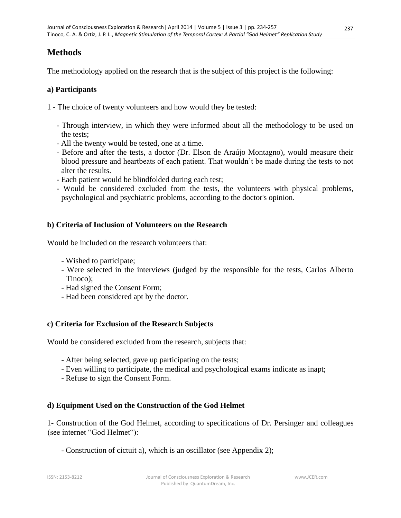## **Methods**

The methodology applied on the research that is the subject of this project is the following:

### **a) Participants**

- 1 The choice of twenty volunteers and how would they be tested:
	- Through interview, in which they were informed about all the methodology to be used on the tests;
	- All the twenty would be tested, one at a time.
	- Before and after the tests, a doctor (Dr. Elson de Araújo Montagno), would measure their blood pressure and heartbeats of each patient. That wouldn't be made during the tests to not alter the results.
	- Each patient would be blindfolded during each test;
	- Would be considered excluded from the tests, the volunteers with physical problems, psychological and psychiatric problems, according to the doctor's opinion.

### **b) Criteria of Inclusion of Volunteers on the Research**

Would be included on the research volunteers that:

- Wished to participate;
- Were selected in the interviews (judged by the responsible for the tests, Carlos Alberto Tinoco);
- Had signed the Consent Form;
- Had been considered apt by the doctor.

### **c) Criteria for Exclusion of the Research Subjects**

Would be considered excluded from the research, subjects that:

- After being selected, gave up participating on the tests;
- Even willing to participate, the medical and psychological exams indicate as inapt;
- Refuse to sign the Consent Form.

### **d) Equipment Used on the Construction of the God Helmet**

1- Construction of the God Helmet, according to specifications of Dr. Persinger and colleagues (see internet "God Helmet"):

- Construction of cictuit a), which is an oscillator (see Appendix 2);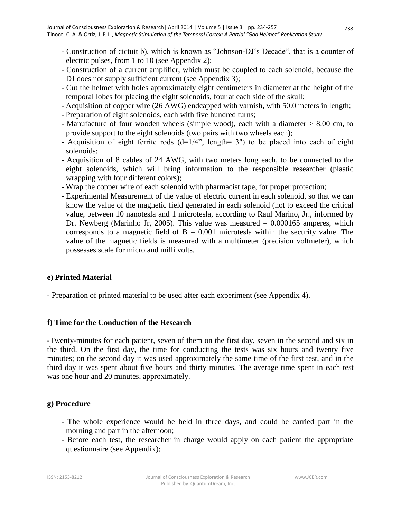- Construction of cictuit b), which is known as "Johnson-DJ's Decade", that is a counter of electric pulses, from 1 to 10 (see Appendix 2);
- Construction of a current amplifier, which must be coupled to each solenoid, because the DJ does not supply sufficient current (see Appendix 3);
- Cut the helmet with holes approximately eight centimeters in diameter at the height of the temporal lobes for placing the eight solenoids, four at each side of the skull;
- Acquisition of copper wire (26 AWG) endcapped with varnish, with 50.0 meters in length;
- Preparation of eight solenoids, each with five hundred turns;
- Manufacture of four wooden wheels (simple wood), each with a diameter > 8.00 cm, to provide support to the eight solenoids (two pairs with two wheels each);
- Acquisition of eight ferrite rods  $(d=1/4"$ , length= 3") to be placed into each of eight solenoids;
- Acquisition of 8 cables of 24 AWG, with two meters long each, to be connected to the eight solenoids, which will bring information to the responsible researcher (plastic wrapping with four different colors);
- Wrap the copper wire of each solenoid with pharmacist tape, for proper protection;
- Experimental Measurement of the value of electric current in each solenoid, so that we can know the value of the magnetic field generated in each solenoid (not to exceed the critical value, between 10 nanotesla and 1 microtesla, according to Raul Marino, Jr., informed by Dr. Newberg (Marinho Jr, 2005). This value was measured  $= 0.000165$  amperes, which corresponds to a magnetic field of  $B = 0.001$  microtesla within the security value. The value of the magnetic fields is measured with a multimeter (precision voltmeter), which possesses scale for micro and milli volts.

### **e) Printed Material**

- Preparation of printed material to be used after each experiment (see Appendix 4).

#### **f) Time for the Conduction of the Research**

-Twenty-minutes for each patient, seven of them on the first day, seven in the second and six in the third. On the first day, the time for conducting the tests was six hours and twenty five minutes; on the second day it was used approximately the same time of the first test, and in the third day it was spent about five hours and thirty minutes. The average time spent in each test was one hour and 20 minutes, approximately.

#### **g) Procedure**

- The whole experience would be held in three days, and could be carried part in the morning and part in the afternoon;
- Before each test, the researcher in charge would apply on each patient the appropriate questionnaire (see Appendix);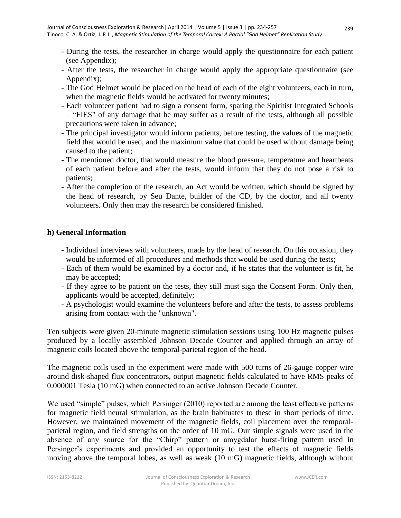- During the tests, the researcher in charge would apply the questionnaire for each patient (see Appendix);
- After the tests, the researcher in charge would apply the appropriate questionnaire (see Appendix);
- The God Helmet would be placed on the head of each of the eight volunteers, each in turn, when the magnetic fields would be activated for twenty minutes;
- Each volunteer patient had to sign a consent form, sparing the Spiritist Integrated Schools – "FIES" of any damage that he may suffer as a result of the tests, although all possible precautions were taken in advance;
- The principal investigator would inform patients, before testing, the values of the magnetic field that would be used, and the maximum value that could be used without damage being caused to the patient;
- The mentioned doctor, that would measure the blood pressure, temperature and heartbeats of each patient before and after the tests, would inform that they do not pose a risk to patients;
- After the completion of the research, an Act would be written, which should be signed by the head of research, by Seu Dante, builder of the CD, by the doctor, and all twenty volunteers. Only then may the research be considered finished.

#### **h) General Information**

- Individual interviews with volunteers, made by the head of research. On this occasion, they would be informed of all procedures and methods that would be used during the tests;
- Each of them would be examined by a doctor and, if he states that the volunteer is fit, he may be accepted;
- If they agree to be patient on the tests, they still must sign the Consent Form. Only then, applicants would be accepted, definitely;
- A psychologist would examine the volunteers before and after the tests, to assess problems arising from contact with the "unknown".

Ten subjects were given 20-minute magnetic stimulation sessions using 100 Hz magnetic pulses produced by a locally assembled Johnson Decade Counter and applied through an array of magnetic coils located above the temporal-parietal region of the head.

The magnetic coils used in the experiment were made with 500 turns of 26-gauge copper wire around disk-shaped flux concentrators, output magnetic fields calculated to have RMS peaks of 0.000001 Tesla (10 mG) when connected to an active Johnson Decade Counter.

We used "simple" pulses, which Persinger (2010) reported are among the least effective patterns for magnetic field neural stimulation, as the brain habituates to these in short periods of time. However, we maintained movement of the magnetic fields, coil placement over the temporalparietal region, and field strengths on the order of 10 mG. Our simple signals were used in the absence of any source for the "Chirp" pattern or amygdalar burst-firing pattern used in Persinger's experiments and provided an opportunity to test the effects of magnetic fields moving above the temporal lobes, as well as weak (10 mG) magnetic fields, although without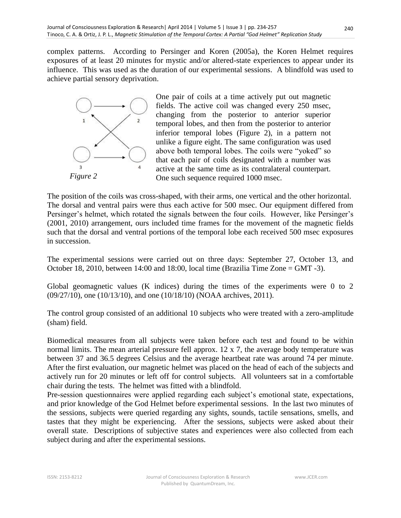complex patterns. According to Persinger and Koren (2005a), the Koren Helmet requires exposures of at least 20 minutes for mystic and/or altered-state experiences to appear under its influence. This was used as the duration of our experimental sessions. A blindfold was used to achieve partial sensory deprivation.



One pair of coils at a time actively put out magnetic fields. The active coil was changed every 250 msec, changing from the posterior to anterior superior temporal lobes, and then from the posterior to anterior inferior temporal lobes (Figure 2), in a pattern not unlike a figure eight. The same configuration was used above both temporal lobes. The coils were "yoked" so that each pair of coils designated with a number was active at the same time as its contralateral counterpart. One such sequence required 1000 msec.

The position of the coils was cross-shaped, with their arms, one vertical and the other horizontal. The dorsal and ventral pairs were thus each active for 500 msec. Our equipment differed from Persinger's helmet, which rotated the signals between the four coils. However, like Persinger's (2001, 2010) arrangement, ours included time frames for the movement of the magnetic fields such that the dorsal and ventral portions of the temporal lobe each received 500 msec exposures in succession.

The experimental sessions were carried out on three days: September 27, October 13, and October 18, 2010, between 14:00 and 18:00, local time (Brazilia Time Zone = GMT -3).

Global geomagnetic values (K indices) during the times of the experiments were 0 to 2 (09/27/10), one (10/13/10), and one (10/18/10) (NOAA archives, 2011).

The control group consisted of an additional 10 subjects who were treated with a zero-amplitude (sham) field.

Biomedical measures from all subjects were taken before each test and found to be within normal limits. The mean arterial pressure fell approx. 12 x 7, the average body temperature was between 37 and 36.5 degrees Celsius and the average heartbeat rate was around 74 per minute. After the first evaluation, our magnetic helmet was placed on the head of each of the subjects and actively run for 20 minutes or left off for control subjects. All volunteers sat in a comfortable chair during the tests. The helmet was fitted with a blindfold.

Pre-session questionnaires were applied regarding each subject's emotional state, expectations, and prior knowledge of the God Helmet before experimental sessions. In the last two minutes of the sessions, subjects were queried regarding any sights, sounds, tactile sensations, smells, and tastes that they might be experiencing. After the sessions, subjects were asked about their overall state. Descriptions of subjective states and experiences were also collected from each subject during and after the experimental sessions.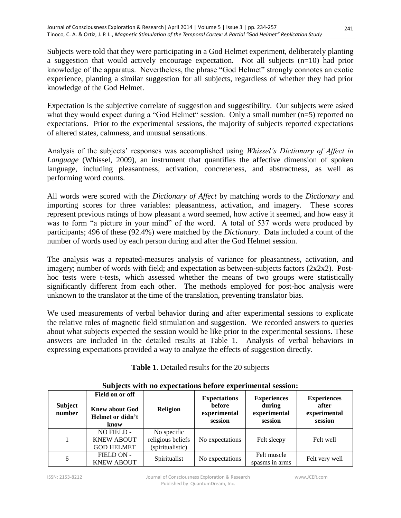Subjects were told that they were participating in a God Helmet experiment, deliberately planting a suggestion that would actively encourage expectation. Not all subjects (n=10) had prior knowledge of the apparatus. Nevertheless, the phrase "God Helmet" strongly connotes an exotic experience, planting a similar suggestion for all subjects, regardless of whether they had prior knowledge of the God Helmet.

Expectation is the subjective correlate of suggestion and suggestibility. Our subjects were asked what they would expect during a "God Helmet" session. Only a small number (n=5) reported no expectations. Prior to the experimental sessions, the majority of subjects reported expectations of altered states, calmness, and unusual sensations.

Analysis of the subjects' responses was accomplished using *Whissel's Dictionary of Affect in Language* (Whissel, 2009), an instrument that quantifies the affective dimension of spoken language, including pleasantness, activation, concreteness, and abstractness, as well as performing word counts.

All words were scored with the *Dictionary of Affect* by matching words to the *Dictionary* and importing scores for three variables: pleasantness, activation, and imagery. These scores represent previous ratings of how pleasant a word seemed, how active it seemed, and how easy it was to form "a picture in your mind" of the word. A total of 537 words were produced by participants; 496 of these (92.4%) were matched by the *Dictionary*. Data included a count of the number of words used by each person during and after the God Helmet session.

The analysis was a repeated-measures analysis of variance for pleasantness, activation, and imagery; number of words with field; and expectation as between-subjects factors  $(2x2x2)$ . Posthoc tests were t-tests, which assessed whether the means of two groups were statistically significantly different from each other. The methods employed for post-hoc analysis were unknown to the translator at the time of the translation, preventing translator bias.

We used measurements of verbal behavior during and after experimental sessions to explicate the relative roles of magnetic field stimulation and suggestion. We recorded answers to queries about what subjects expected the session would be like prior to the experimental sessions. These answers are included in the detailed results at Table 1. Analysis of verbal behaviors in expressing expectations provided a way to analyze the effects of suggestion directly.

| <b>Subject</b><br>number | Field on or off<br><b>Knew about God</b><br>Helmet or didn't<br>know | <b>Religion</b>                                      | <b>Expectations</b><br><b>before</b><br>experimental<br>session | <b>Experiences</b><br>during<br>experimental<br>session | <b>Experiences</b><br>after<br>experimental<br>session |
|--------------------------|----------------------------------------------------------------------|------------------------------------------------------|-----------------------------------------------------------------|---------------------------------------------------------|--------------------------------------------------------|
|                          | NO FIELD -<br><b>KNEW ABOUT</b><br><b>GOD HELMET</b>                 | No specific<br>religious beliefs<br>(spiritualistic) | No expectations                                                 | Felt sleepy                                             | Felt well                                              |
| 6                        | FIELD ON -<br><b>KNEW ABOUT</b>                                      | Spiritualist                                         | No expectations                                                 | Felt muscle<br>spasms in arms                           | Felt very well                                         |

#### **Subjects with no expectations before experimental session:**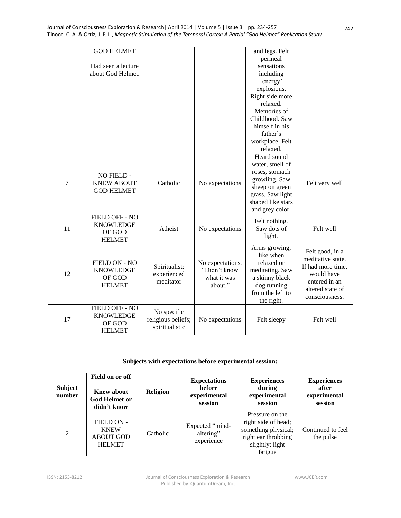|    | <b>GOD HELMET</b>                                                                   |               |                  | and legs. Felt    |                   |
|----|-------------------------------------------------------------------------------------|---------------|------------------|-------------------|-------------------|
|    |                                                                                     |               |                  | perineal          |                   |
|    | Had seen a lecture                                                                  |               |                  | sensations        |                   |
|    | about God Helmet.                                                                   |               |                  | including         |                   |
|    |                                                                                     |               |                  | 'energy'          |                   |
|    |                                                                                     |               |                  | explosions.       |                   |
|    |                                                                                     |               |                  | Right side more   |                   |
|    |                                                                                     |               |                  | relaxed.          |                   |
|    |                                                                                     |               |                  | Memories of       |                   |
|    |                                                                                     |               |                  | Childhood. Saw    |                   |
|    |                                                                                     |               |                  | himself in his    |                   |
|    |                                                                                     |               |                  | father's          |                   |
|    |                                                                                     |               |                  | workplace. Felt   |                   |
|    |                                                                                     |               |                  | relaxed.          |                   |
|    |                                                                                     |               |                  | Heard sound       |                   |
|    |                                                                                     |               |                  | water, smell of   |                   |
|    | NO FIELD -                                                                          |               |                  | roses, stomach    |                   |
| 7  | <b>KNEW ABOUT</b><br><b>GOD HELMET</b>                                              | Catholic      | No expectations  | growling. Saw     | Felt very well    |
|    |                                                                                     |               |                  | sheep on green    |                   |
|    |                                                                                     |               |                  | grass. Saw light  |                   |
|    |                                                                                     |               |                  | shaped like stars |                   |
|    |                                                                                     |               |                  | and grey color.   |                   |
|    | FIELD OFF - NO                                                                      |               |                  | Felt nothing.     |                   |
| 11 | <b>KNOWLEDGE</b>                                                                    | Atheist       | No expectations  | Saw dots of       | Felt well         |
|    | OF GOD                                                                              |               |                  | light.            |                   |
|    | <b>HELMET</b>                                                                       |               |                  |                   |                   |
|    |                                                                                     |               |                  | Arms growing,     | Felt good, in a   |
|    |                                                                                     |               |                  | like when         | meditative state. |
|    | FIELD ON - NO                                                                       | Spiritualist; | No expectations. | relaxed or        | If had more time, |
| 12 | <b>KNOWLEDGE</b>                                                                    | experienced   | "Didn't know     | meditating. Saw   | would have        |
|    | OF GOD<br>meditator                                                                 |               | what it was      | a skinny black    | entered in an     |
|    | <b>HELMET</b>                                                                       |               | about."          | dog running       | altered state of  |
|    |                                                                                     |               |                  | from the left to  | consciousness.    |
|    |                                                                                     |               |                  | the right.        |                   |
|    | <b>FIELD OFF - NO</b>                                                               | No specific   |                  |                   |                   |
| 17 | <b>KNOWLEDGE</b><br>religious beliefs;<br>OF GOD<br>spiritualistic<br><b>HELMET</b> |               | No expectations  | Felt sleepy       | Felt well         |
|    |                                                                                     |               |                  |                   |                   |
|    |                                                                                     |               |                  |                   |                   |

#### **Subjects with expectations before experimental session:**

| <b>Subject</b><br>number | Field on or off<br><b>Knew about</b><br><b>God Helmet or</b><br>didn't know | <b>Religion</b> | <b>Expectations</b><br><b>before</b><br>experimental<br>session | <b>Experiences</b><br>during<br>experimental<br>session                                                            | <b>Experiences</b><br>after<br>experimental<br>session |
|--------------------------|-----------------------------------------------------------------------------|-----------------|-----------------------------------------------------------------|--------------------------------------------------------------------------------------------------------------------|--------------------------------------------------------|
| 2                        | FIELD ON -<br><b>KNEW</b><br><b>ABOUT GOD</b><br><b>HELMET</b>              | Catholic        | Expected "mind-<br>altering"<br>experience                      | Pressure on the<br>right side of head;<br>something physical;<br>right ear throbbing<br>slightly; light<br>fatigue | Continued to feel<br>the pulse                         |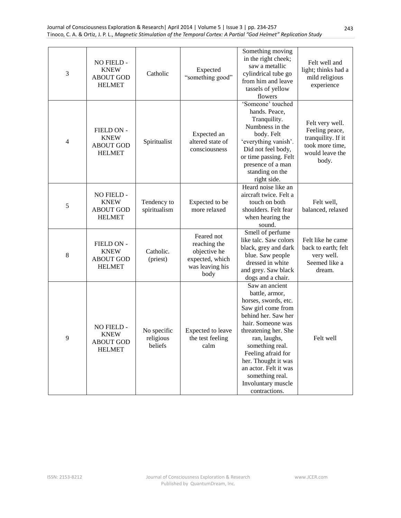| 3 | NO FIELD -<br><b>KNEW</b><br><b>ABOUT GOD</b><br><b>HELMET</b> | Catholic                            | Expected<br>"something good"                                                             | Something moving<br>in the right cheek;<br>saw a metallic<br>cylindrical tube go<br>from him and leave<br>tassels of yellow<br>flowers                                                                                                                                                                                | Felt well and<br>light; thinks had a<br>mild religious<br>experience                                   |
|---|----------------------------------------------------------------|-------------------------------------|------------------------------------------------------------------------------------------|-----------------------------------------------------------------------------------------------------------------------------------------------------------------------------------------------------------------------------------------------------------------------------------------------------------------------|--------------------------------------------------------------------------------------------------------|
| 4 | FIELD ON -<br><b>KNEW</b><br><b>ABOUT GOD</b><br><b>HELMET</b> | Spiritualist                        | Expected an<br>altered state of<br>consciousness                                         | 'Someone' touched<br>hands. Peace,<br>Tranquility.<br>Numbness in the<br>body. Felt<br>'everything vanish'.<br>Did not feel body,<br>or time passing. Felt<br>presence of a man<br>standing on the<br>right side.                                                                                                     | Felt very well.<br>Feeling peace,<br>tranquility. If it<br>took more time,<br>would leave the<br>body. |
| 5 | NO FIELD -<br><b>KNEW</b><br><b>ABOUT GOD</b><br><b>HELMET</b> | Tendency to<br>spiritualism         | Expected to be<br>more relaxed                                                           | Heard noise like an<br>aircraft twice. Felt a<br>touch on both<br>shoulders. Felt fear<br>when hearing the<br>sound.                                                                                                                                                                                                  | Felt well,<br>balanced, relaxed                                                                        |
| 8 | FIELD ON -<br><b>KNEW</b><br><b>ABOUT GOD</b><br><b>HELMET</b> | Catholic.<br>(priest)               | Feared not<br>reaching the<br>objective he<br>expected, which<br>was leaving his<br>body | Smell of perfume<br>like talc. Saw colors<br>black, grey and dark<br>blue. Saw people<br>dressed in white<br>and grey. Saw black<br>dogs and a chair.                                                                                                                                                                 | Felt like he came<br>back to earth; felt<br>very well.<br>Seemed like a<br>dream.                      |
| 9 | NO FIELD -<br><b>KNEW</b><br><b>ABOUT GOD</b><br><b>HELMET</b> | No specific<br>religious<br>beliefs | Expected to leave<br>the test feeling<br>calm                                            | Saw an ancient<br>battle, armor,<br>horses, swords, etc.<br>Saw girl come from<br>behind her. Saw her<br>hair. Someone was<br>threatening her. She<br>ran, laughs,<br>something real.<br>Feeling afraid for<br>her. Thought it was<br>an actor. Felt it was<br>something real.<br>Involuntary muscle<br>contractions. | Felt well                                                                                              |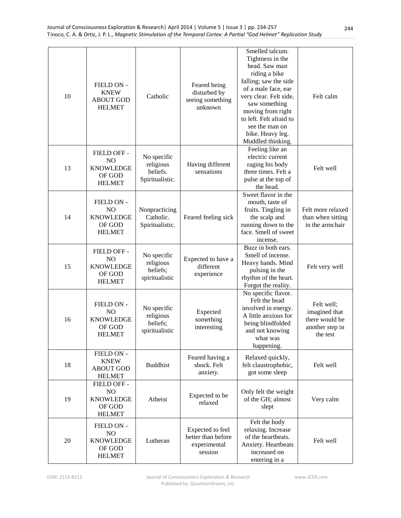| 10 | FIELD ON -<br><b>KNEW</b><br><b>ABOUT GOD</b><br><b>HELMET</b>               | Catholic                                                | Feared being<br>disturbed by<br>seeing something<br>unknown       | Smelled talcum.<br>Tightness in the<br>head. Saw man<br>riding a bike<br>falling; saw the side<br>of a male face, ear<br>very clear. Felt side,<br>saw something<br>moving from right<br>to left. Felt afraid to<br>see the man on<br>bike. Heavy leg.<br>Muddled thinking. | Felt calm                                                                    |
|----|------------------------------------------------------------------------------|---------------------------------------------------------|-------------------------------------------------------------------|-----------------------------------------------------------------------------------------------------------------------------------------------------------------------------------------------------------------------------------------------------------------------------|------------------------------------------------------------------------------|
| 13 | FIELD OFF -<br>N <sub>O</sub><br><b>KNOWLEDGE</b><br>OF GOD<br><b>HELMET</b> | No specific<br>religious<br>beliefs.<br>Spiritualistic. | Having different<br>sensations                                    | Feeling like an<br>electric current<br>raging his body<br>three times. Felt a<br>pulse at the top of<br>the head.                                                                                                                                                           | Felt well                                                                    |
| 14 | FIELD ON -<br>NO<br><b>KNOWLEDGE</b><br>OF GOD<br><b>HELMET</b>              | Nonpracticing<br>Catholic.<br>Spiritualistic.           | Feared feeling sick                                               | Sweet flavor in the<br>mouth, taste of<br>fruits. Tingling in<br>the scalp and<br>running down to the<br>face. Smell of sweet<br>incense.                                                                                                                                   | Felt more relaxed<br>than when sitting<br>in the armchair                    |
| 15 | FIELD OFF -<br>N <sub>O</sub><br><b>KNOWLEDGE</b><br>OF GOD<br><b>HELMET</b> | No specific<br>religious<br>beliefs;<br>spiritualistic  | Expected to have a<br>different<br>experience                     | Buzz in both ears.<br>Smell of incense.<br>Heavy hands. Mind<br>pulsing in the<br>rhythm of the heart.<br>Forgot the reality.                                                                                                                                               | Felt very well                                                               |
| 16 | FIELD ON -<br>NO<br><b>KNOWLEDGE</b><br>OF GOD<br><b>HELMET</b>              | No specific<br>religious<br>beliefs;<br>spiritualistic  | Expected<br>something<br>interesting                              | No specific flavor.<br>Felt the head<br>involved in energy.<br>A little anxious for<br>being blindfolded<br>and not knowing<br>what was<br>happening.                                                                                                                       | Felt well;<br>imagined that<br>there would be<br>another step in<br>the test |
| 18 | FIELD ON -<br><b>KNEW</b><br><b>ABOUT GOD</b><br><b>HELMET</b>               | <b>Buddhist</b>                                         | Feared having a<br>shock. Felt<br>anxiety.                        | Relaxed quickly,<br>felt claustrophobic,<br>got some sleep                                                                                                                                                                                                                  | Felt well                                                                    |
| 19 | FIELD OFF -<br>NO<br><b>KNOWLEDGE</b><br>OF GOD<br><b>HELMET</b>             | Atheist                                                 | Expected to be<br>relaxed                                         | Only felt the weight<br>of the GH; almost<br>slept                                                                                                                                                                                                                          | Very calm                                                                    |
| 20 | FIELD ON -<br>NO<br><b>KNOWLEDGE</b><br>OF GOD<br><b>HELMET</b>              | Lutheran                                                | Expected to feel<br>better than before<br>experimental<br>session | Felt the body<br>relaxing. Increase<br>of the heartbeats.<br>Anxiety. Heartbeats<br>increased on<br>entering in a                                                                                                                                                           | Felt well                                                                    |

www.JCER.com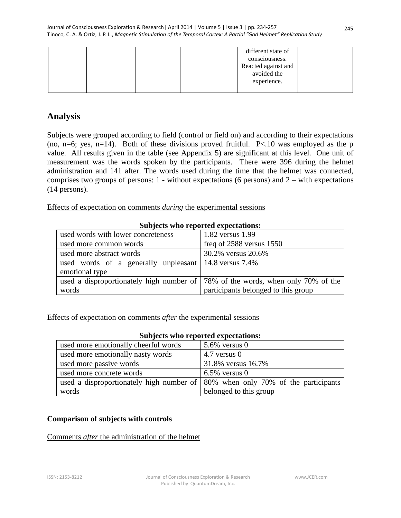|  |  | different state of  |  |
|--|--|---------------------|--|
|  |  | consciousness.      |  |
|  |  | Reacted against and |  |
|  |  | avoided the         |  |
|  |  | experience.         |  |
|  |  |                     |  |

## **Analysis**

Subjects were grouped according to field (control or field on) and according to their expectations (no, n=6; yes, n=14). Both of these divisions proved fruitful.  $P<10$  was employed as the p value. All results given in the table (see Appendix 5) are significant at this level. One unit of measurement was the words spoken by the participants. There were 396 during the helmet administration and 141 after. The words used during the time that the helmet was connected, comprises two groups of persons:  $1$  - without expectations (6 persons) and  $2$  – with expectations (14 persons).

Effects of expectation on comments *during* the experimental sessions

| Subjects who reported expectations:                           |                                                                                   |  |  |  |
|---------------------------------------------------------------|-----------------------------------------------------------------------------------|--|--|--|
| used words with lower concreteness                            | 1.82 versus 1.99                                                                  |  |  |  |
| used more common words                                        | freq of $2588$ versus $1550$                                                      |  |  |  |
| used more abstract words                                      | 30.2% versus 20.6%                                                                |  |  |  |
| used words of a generally unpleasant $\vert$ 14.8 versus 7.4% |                                                                                   |  |  |  |
| emotional type                                                |                                                                                   |  |  |  |
|                                                               | used a disproportionately high number of   78% of the words, when only 70% of the |  |  |  |
| words                                                         | participants belonged to this group                                               |  |  |  |

#### **Subjects who reported expectations:**

Effects of expectation on comments *after* the experimental sessions

| subjects who reported expectations.                                                            |                        |
|------------------------------------------------------------------------------------------------|------------------------|
| used more emotionally cheerful words                                                           | $5.6\%$ versus 0       |
| used more emotionally nasty words                                                              | $4.7$ versus 0         |
| used more passive words                                                                        | 31.8% versus 16.7%     |
| used more concrete words                                                                       | $6.5\%$ versus 0       |
| used a disproportionately high number of $\mid 80\% \rangle$ when only 70% of the participants |                        |
| words                                                                                          | belonged to this group |

### **Subjects who reported expectations:**

### **Comparison of subjects with controls**

#### Comments *after* the administration of the helmet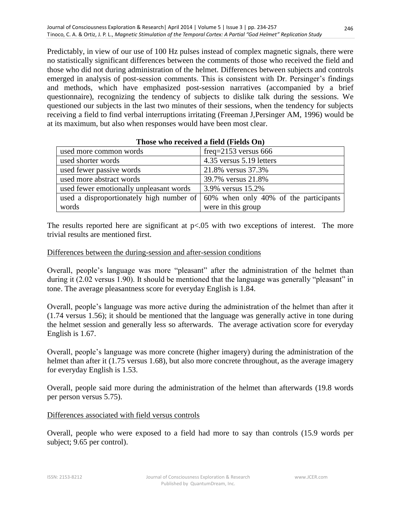Predictably, in view of our use of 100 Hz pulses instead of complex magnetic signals, there were no statistically significant differences between the comments of those who received the field and those who did not during administration of the helmet. Differences between subjects and controls emerged in analysis of post-session comments. This is consistent with Dr. Persinger's findings and methods, which have emphasized post-session narratives (accompanied by a brief questionnaire), recognizing the tendency of subjects to dislike talk during the sessions. We questioned our subjects in the last two minutes of their sessions, when the tendency for subjects receiving a field to find verbal interruptions irritating (Freeman J,Persinger AM, 1996) would be at its maximum, but also when responses would have been most clear.

| used more common words                  | freq= $2153$ versus 666                                                                |
|-----------------------------------------|----------------------------------------------------------------------------------------|
| used shorter words                      | 4.35 versus 5.19 letters                                                               |
| used fewer passive words                | 21.8% versus 37.3%                                                                     |
| used more abstract words                | 39.7% versus 21.8%                                                                     |
| used fewer emotionally unpleasant words | 3.9% versus 15.2%                                                                      |
|                                         | used a disproportionately high number of $\vert$ 60% when only 40% of the participants |
| words                                   | were in this group                                                                     |

#### **Those who received a field (Fields On)**

The results reported here are significant at  $p<0.05$  with two exceptions of interest. The more trivial results are mentioned first.

#### Differences between the during-session and after-session conditions

Overall, people's language was more "pleasant" after the administration of the helmet than during it (2.02 versus 1.90). It should be mentioned that the language was generally "pleasant" in tone. The average pleasantness score for everyday English is 1.84.

Overall, people's language was more active during the administration of the helmet than after it (1.74 versus 1.56); it should be mentioned that the language was generally active in tone during the helmet session and generally less so afterwards. The average activation score for everyday English is 1.67.

Overall, people's language was more concrete (higher imagery) during the administration of the helmet than after it (1.75 versus 1.68), but also more concrete throughout, as the average imagery for everyday English is 1.53.

Overall, people said more during the administration of the helmet than afterwards (19.8 words per person versus 5.75).

#### Differences associated with field versus controls

Overall, people who were exposed to a field had more to say than controls (15.9 words per subject; 9.65 per control).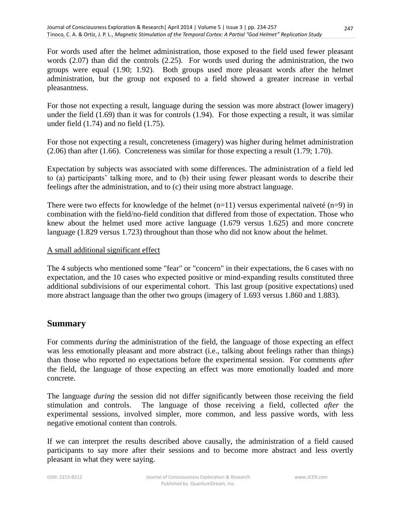For words used after the helmet administration, those exposed to the field used fewer pleasant words (2.07) than did the controls (2.25). For words used during the administration, the two groups were equal (1.90; 1.92). Both groups used more pleasant words after the helmet administration, but the group not exposed to a field showed a greater increase in verbal pleasantness.

For those not expecting a result, language during the session was more abstract (lower imagery) under the field (1.69) than it was for controls (1.94). For those expecting a result, it was similar under field (1.74) and no field (1.75).

For those not expecting a result, concreteness (imagery) was higher during helmet administration (2.06) than after (1.66). Concreteness was similar for those expecting a result (1.79; 1.70).

Expectation by subjects was associated with some differences. The administration of a field led to (a) participants' talking more, and to (b) their using fewer pleasant words to describe their feelings after the administration, and to (c) their using more abstract language.

There were two effects for knowledge of the helmet  $(n=11)$  versus experimental naïveté  $(n=9)$  in combination with the field/no-field condition that differed from those of expectation. Those who knew about the helmet used more active language (1.679 versus 1.625) and more concrete language (1.829 versus 1.723) throughout than those who did not know about the helmet.

### A small additional significant effect

The 4 subjects who mentioned some "fear" or "concern" in their expectations, the 6 cases with no expectation, and the 10 cases who expected positive or mind-expanding results constituted three additional subdivisions of our experimental cohort. This last group (positive expectations) used more abstract language than the other two groups (imagery of 1.693 versus 1.860 and 1.883).

## **Summary**

For comments *during* the administration of the field, the language of those expecting an effect was less emotionally pleasant and more abstract (i.e., talking about feelings rather than things) than those who reported no expectations before the experimental session. For comments *after* the field, the language of those expecting an effect was more emotionally loaded and more concrete.

The language *during* the session did not differ significantly between those receiving the field stimulation and controls. The language of those receiving a field, collected *after* the experimental sessions, involved simpler, more common, and less passive words, with less negative emotional content than controls.

If we can interpret the results described above causally, the administration of a field caused participants to say more after their sessions and to become more abstract and less overtly pleasant in what they were saying.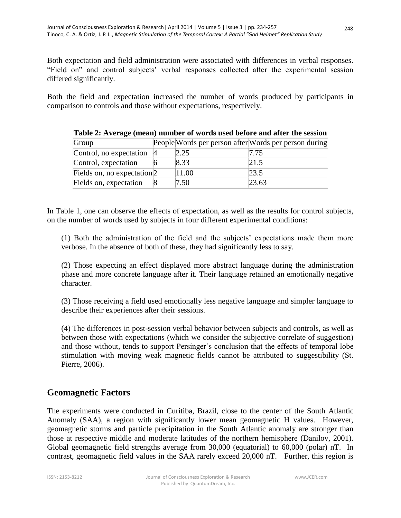Both expectation and field administration were associated with differences in verbal responses. "Field on" and control subjects' verbal responses collected after the experimental session differed significantly.

Both the field and expectation increased the number of words produced by participants in comparison to controls and those without expectations, respectively.

|                                          |       | Tuble 20 Inventer (Incurry Humber of Worlds about before and direct the bestion |
|------------------------------------------|-------|---------------------------------------------------------------------------------|
| Group                                    |       | People Words per person after Words per person during                           |
| Control, no expectation $ 4 $            | 2.25  | 7.75                                                                            |
| Control, expectation                     | 8.33  | 21.5                                                                            |
| Fields on, no expectation <sup>[2]</sup> | 11.00 | 23.5                                                                            |
| Fields on, expectation                   | 7.50  | 23.63                                                                           |

**Table 2: Average (mean) number of words used before and after the session**

In Table 1, one can observe the effects of expectation, as well as the results for control subjects, on the number of words used by subjects in four different experimental conditions:

(1) Both the administration of the field and the subjects' expectations made them more verbose. In the absence of both of these, they had significantly less to say.

(2) Those expecting an effect displayed more abstract language during the administration phase and more concrete language after it. Their language retained an emotionally negative character.

(3) Those receiving a field used emotionally less negative language and simpler language to describe their experiences after their sessions.

(4) The differences in post-session verbal behavior between subjects and controls, as well as between those with expectations (which we consider the subjective correlate of suggestion) and those without, tends to support Persinger's conclusion that the effects of temporal lobe stimulation with moving weak magnetic fields cannot be attributed to suggestibility (St. Pierre, 2006).

## **Geomagnetic Factors**

The experiments were conducted in Curitiba, Brazil, close to the center of the South Atlantic Anomaly (SAA), a region with significantly lower mean geomagnetic H values. However, geomagnetic storms and particle precipitation in the South Atlantic anomaly are stronger than those at respective middle and moderate latitudes of the northern hemisphere (Danilov, 2001). Global geomagnetic field strengths average from 30,000 (equatorial) to 60,000 (polar) nT. In contrast, geomagnetic field values in the SAA rarely exceed 20,000 nT. Further, this region is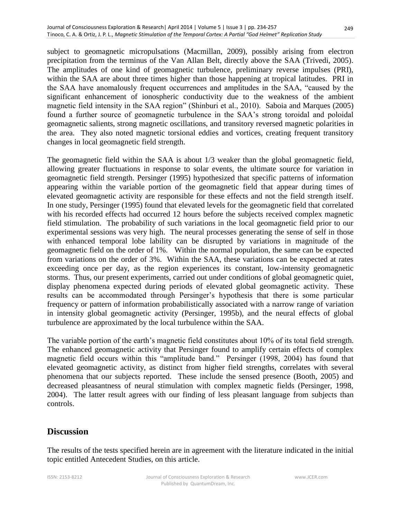subject to geomagnetic micropulsations (Macmillan, 2009), possibly arising from electron precipitation from the terminus of the Van Allan Belt, directly above the SAA (Trivedi, 2005). The amplitudes of one kind of geomagnetic turbulence, preliminary reverse impulses (PRI), within the SAA are about three times higher than those happening at tropical latitudes. PRI in the SAA have anomalously frequent occurrences and amplitudes in the SAA, "caused by the significant enhancement of ionospheric conductivity due to the weakness of the ambient magnetic field intensity in the SAA region" (Shinburi et al., 2010). Saboia and Marques (2005) found a further source of geomagnetic turbulence in the SAA's strong toroidal and poloidal geomagnetic salients, strong magnetic oscillations, and transitory reversed magnetic polarities in the area. They also noted magnetic torsional eddies and vortices, creating frequent transitory changes in local geomagnetic field strength.

The geomagnetic field within the SAA is about 1/3 weaker than the global geomagnetic field, allowing greater fluctuations in response to solar events, the ultimate source for variation in geomagnetic field strength. Persinger (1995) hypothesized that specific patterns of information appearing within the variable portion of the geomagnetic field that appear during times of elevated geomagnetic activity are responsible for these effects and not the field strength itself. In one study, Persinger (1995) found that elevated levels for the geomagnetic field that correlated with his recorded effects had occurred 12 hours before the subjects received complex magnetic field stimulation. The probability of such variations in the local geomagnetic field prior to our experimental sessions was very high. The neural processes generating the sense of self in those with enhanced temporal lobe lability can be disrupted by variations in magnitude of the geomagnetic field on the order of 1%. Within the normal population, the same can be expected from variations on the order of 3%. Within the SAA, these variations can be expected at rates exceeding once per day, as the region experiences its constant, low-intensity geomagnetic storms. Thus, our present experiments, carried out under conditions of global geomagnetic quiet, display phenomena expected during periods of elevated global geomagnetic activity. These results can be accommodated through Persinger's hypothesis that there is some particular frequency or pattern of information probabilistically associated with a narrow range of variation in intensity global geomagnetic activity (Persinger, 1995b), and the neural effects of global turbulence are approximated by the local turbulence within the SAA.

The variable portion of the earth's magnetic field constitutes about 10% of its total field strength. The enhanced geomagnetic activity that Persinger found to amplify certain effects of complex magnetic field occurs within this "amplitude band." Persinger (1998, 2004) has found that elevated geomagnetic activity, as distinct from higher field strengths, correlates with several phenomena that our subjects reported. These include the sensed presence (Booth, 2005) and decreased pleasantness of neural stimulation with complex magnetic fields (Persinger, 1998, 2004). The latter result agrees with our finding of less pleasant language from subjects than controls.

### **Discussion**

The results of the tests specified herein are in agreement with the literature indicated in the initial topic entitled Antecedent Studies, on this article.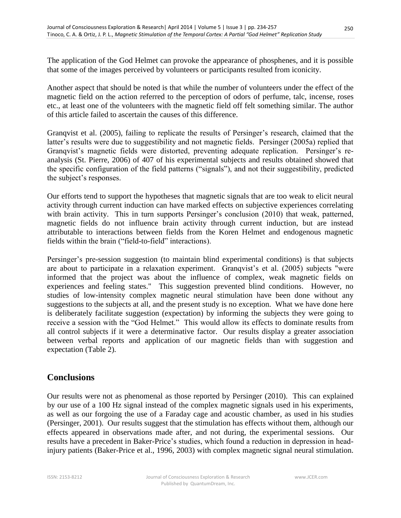The application of the God Helmet can provoke the appearance of phosphenes, and it is possible that some of the images perceived by volunteers or participants resulted from iconicity.

Another aspect that should be noted is that while the number of volunteers under the effect of the magnetic field on the action referred to the perception of odors of perfume, talc, incense, roses etc., at least one of the volunteers with the magnetic field off felt something similar. The author of this article failed to ascertain the causes of this difference.

Granqvist et al. (2005), failing to replicate the results of Persinger's research, claimed that the latter's results were due to suggestibility and not magnetic fields. Persinger (2005a) replied that Granqvist's magnetic fields were distorted, preventing adequate replication. Persinger's reanalysis (St. Pierre, 2006) of 407 of his experimental subjects and results obtained showed that the specific configuration of the field patterns ("signals"), and not their suggestibility, predicted the subject's responses.

Our efforts tend to support the hypotheses that magnetic signals that are too weak to elicit neural activity through current induction can have marked effects on subjective experiences correlating with brain activity. This in turn supports Persinger's conclusion (2010) that weak, patterned, magnetic fields do not influence brain activity through current induction, but are instead attributable to interactions between fields from the Koren Helmet and endogenous magnetic fields within the brain ("field-to-field" interactions).

Persinger's pre-session suggestion (to maintain blind experimental conditions) is that subjects are about to participate in a relaxation experiment. Granqvist's et al. (2005) subjects "were informed that the project was about the influence of complex, weak magnetic fields on experiences and feeling states." This suggestion prevented blind conditions. However, no studies of low-intensity complex magnetic neural stimulation have been done without any suggestions to the subjects at all, and the present study is no exception. What we have done here is deliberately facilitate suggestion (expectation) by informing the subjects they were going to receive a session with the "God Helmet." This would allow its effects to dominate results from all control subjects if it were a determinative factor. Our results display a greater association between verbal reports and application of our magnetic fields than with suggestion and expectation (Table 2).

### **Conclusions**

Our results were not as phenomenal as those reported by Persinger (2010). This can explained by our use of a 100 Hz signal instead of the complex magnetic signals used in his experiments, as well as our forgoing the use of a Faraday cage and acoustic chamber, as used in his studies (Persinger, 2001). Our results suggest that the stimulation has effects without them, although our effects appeared in observations made after, and not during, the experimental sessions. Our results have a precedent in Baker-Price's studies, which found a reduction in depression in headinjury patients (Baker-Price et al., 1996, 2003) with complex magnetic signal neural stimulation.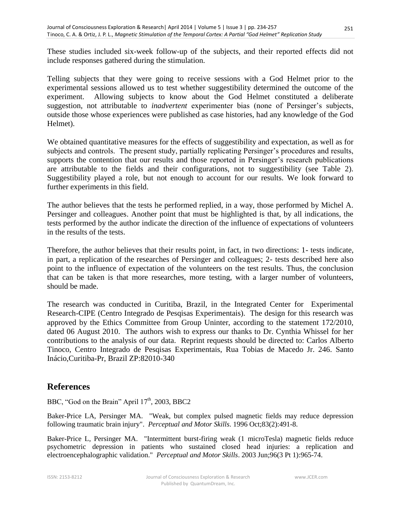These studies included six-week follow-up of the subjects, and their reported effects did not include responses gathered during the stimulation.

Telling subjects that they were going to receive sessions with a God Helmet prior to the experimental sessions allowed us to test whether suggestibility determined the outcome of the experiment. Allowing subjects to know about the God Helmet constituted a deliberate suggestion, not attributable to *inadvertent* experimenter bias (none of Persinger's subjects, outside those whose experiences were published as case histories, had any knowledge of the God Helmet).

We obtained quantitative measures for the effects of suggestibility and expectation, as well as for subjects and controls. The present study, partially replicating Persinger's procedures and results, supports the contention that our results and those reported in Persinger's research publications are attributable to the fields and their configurations, not to suggestibility (see Table 2). Suggestibility played a role, but not enough to account for our results. We look forward to further experiments in this field.

The author believes that the tests he performed replied, in a way, those performed by Michel A. Persinger and colleagues. Another point that must be highlighted is that, by all indications, the tests performed by the author indicate the direction of the influence of expectations of volunteers in the results of the tests.

Therefore, the author believes that their results point, in fact, in two directions: 1- tests indicate, in part, a replication of the researches of Persinger and colleagues; 2- tests described here also point to the influence of expectation of the volunteers on the test results. Thus, the conclusion that can be taken is that more researches, more testing, with a larger number of volunteers, should be made.

The research was conducted in Curitiba, Brazil, in the Integrated Center for Experimental Research-CIPE (Centro Integrado de Pesqisas Experimentais). The design for this research was approved by the Ethics Committee from Group Uninter, according to the statement 172/2010, dated 06 August 2010. The authors wish to express our thanks to Dr. Cynthia Whissel for her contributions to the analysis of our data. Reprint requests should be directed to: Carlos Alberto Tinoco, Centro Integrado de Pesqisas Experimentais, Rua Tobias de Macedo Jr. 246. Santo Inácio,Curitiba-Pr, Brazil ZP:82010-340

### **References**

BBC, "God on the Brain" April  $17<sup>th</sup>$ , 2003, BBC2

Baker-Price LA, Persinger MA. "Weak, but complex pulsed magnetic fields may reduce depression following traumatic brain injury". *Perceptual and Motor Skills*. 1996 Oct;83(2):491-8.

Baker-Price L, Persinger MA. "Intermittent burst-firing weak (1 microTesla) magnetic fields reduce psychometric depression in patients who sustained closed head injuries: a replication and electroencephalographic validation." *Perceptual and Motor Skills*. 2003 Jun;96(3 Pt 1):965-74.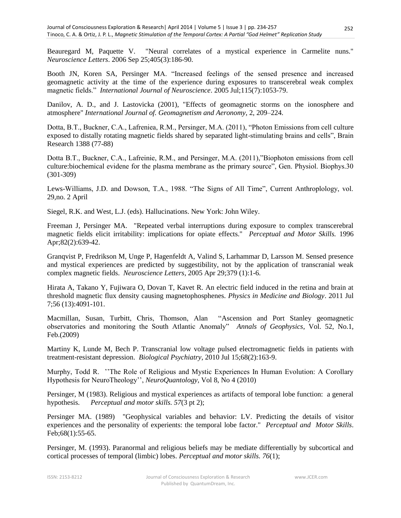Beauregard M, Paquette V. "Neural correlates of a mystical experience in Carmelite nuns." *Neuroscience Letters*. 2006 Sep 25;405(3):186-90.

Booth JN, Koren SA, Persinger MA. "Increased feelings of the sensed presence and increased geomagnetic activity at the time of the experience during exposures to transcerebral weak complex magnetic fields." *International Journal of Neuroscience*. 2005 Jul;115(7):1053-79.

Danilov, A. D., and J. Lastovicka (2001), "Effects of geomagnetic storms on the ionosphere and atmosphere" *International Journal of. Geomagnetism and Aeronomy*, 2, 209–224.

Dotta, B.T., Buckner, C.A., Lafreniea, R.M., Persinger, M.A. (2011), "Photon Emissions from cell culture exposed to distally rotating magnetic fields shared by separated light-stimulating brains and cells", Brain Research 1388 (77-88)

Dotta B.T., Buckner, C.A., Lafreinie, R.M., and Persinger, M.A. (2011),"Biophoton emissions from cell culture:biochemical evidene for the plasma membrane as the primary source", Gen. Physiol. Biophys.30 (301-309)

Lews-Williams, J.D. and Dowson, T.A., 1988. "The Signs of All Time", Current Anthroplology, vol. 29,no. 2 April

Siegel, R.K. and West, L.J. (eds). Hallucinations. New York: John Wiley.

Freeman J, Persinger MA. "Repeated verbal interruptions during exposure to complex transcerebral magnetic fields elicit irritability: implications for opiate effects." *Perceptual and Motor Skills.* 1996 Apr;82(2):639-42.

Granqvist P, Fredrikson M, Unge P, Hagenfeldt A, Valind S, Larhammar D, Larsson M. Sensed presence and mystical experiences are predicted by suggestibility, not by the application of transcranial weak complex magnetic fields. *Neuroscience Letters*, 2005 Apr 29;379 (1):1-6.

Hirata A, Takano Y, Fujiwara O, Dovan T, Kavet R. An electric field induced in the retina and brain at threshold magnetic flux density causing magnetophosphenes. *Physics in Medicine and Biology*. 2011 Jul 7;56 (13):4091-101.

Macmillan, Susan, Turbitt, Chris, Thomson, Alan "Ascension and Port Stanley geomagnetic observatories and monitoring the South Atlantic Anomaly" *Annals of Geophysics*, Vol. 52, No.1, Feb.(2009)

Martiny K, Lunde M, Bech P. Transcranial low voltage pulsed electromagnetic fields in patients with treatment-resistant depression. *Biological Psychiatry*, 2010 Jul 15;68(2):163-9.

Murphy, Todd R. ''The Role of Religious and Mystic Experiences In Human Evolution: A Corollary Hypothesis for NeuroTheology'', *NeuroQuantology*, Vol 8, No 4 (2010)

Persinger, M (1983). Religious and mystical experiences as artifacts of temporal lobe function: a general hypothesis. *Perceptual and motor skills. 57*(3 pt 2);

Persinger MA. (1989) "Geophysical variables and behavior: LV. Predicting the details of visitor experiences and the personality of experients: the temporal lobe factor." *Perceptual and Motor Skills*. Feb;68(1):55-65.

Persinger, M. (1993). Paranormal and religious beliefs may be mediate differentially by subcortical and cortical processes of temporal (limbic) lobes. *Perceptual and motor skills. 76*(1);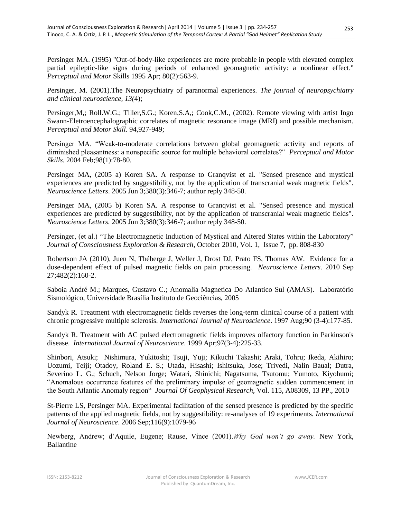Persinger MA. (1995) "Out-of-body-like experiences are more probable in people with elevated complex partial epileptic-like signs during periods of enhanced geomagnetic activity: a nonlinear effect." *Perceptual and Motor* Skills 1995 Apr; 80(2):563-9.

Persinger, M. (2001).The Neuropsychiatry of paranormal experiences. *The journal of neuropsychiatry and clinical neuroscience, 13(*4);

Persinger,M,; Roll.W.G.; Tiller,S.G.; Koren,S.A,; Cook,C.M., (2002). Remote viewing with artist Ingo Swann-Eletroencephalographic correlates of magnetic resonance image (MRI) and possible mechanism. *Perceptual and Motor Skill.* 94,927-949;

Persinger MA. "Weak-to-moderate correlations between global geomagnetic activity and reports of diminished pleasantness: a nonspecific source for multiple behavioral correlates?" *Perceptual and Motor Skills.* 2004 Feb;98(1):78-80.

Persinger MA, (2005 a) Koren SA. A response to Granqvist et al. "Sensed presence and mystical experiences are predicted by suggestibility, not by the application of transcranial weak magnetic fields". *Neuroscience Letters*. 2005 Jun 3;380(3):346-7; author reply 348-50.

Persinger MA, (2005 b) Koren SA. A response to Granqvist et al. "Sensed presence and mystical experiences are predicted by suggestibility, not by the application of transcranial weak magnetic fields". *Neuroscience Letters.* 2005 Jun 3;380(3):346-7; author reply 348-50.

Persinger, (et al.) "The Electromagnetic Induction of Mystical and Altered States within the Laboratory" *Journal of Consciousness Exploration & Research*, October 2010, Vol. 1, Issue 7, pp. 808-830

Robertson JA (2010), Juen N, Théberge J, Weller J, Drost DJ, Prato FS, Thomas AW. Evidence for a dose-dependent effect of pulsed magnetic fields on pain processing. *Neuroscience Letters*. 2010 Sep 27;482(2):160-2.

Saboia André M.; Marques, Gustavo C.; Anomalia Magnetica Do Atlantico Sul (AMAS). Laboratório Sismológico, Universidade Brasília Instituto de Geociências, 2005

Sandyk R. Treatment with electromagnetic fields reverses the long-term clinical course of a patient with chronic progressive multiple sclerosis. *International Journal of Neuroscience*. 1997 Aug;90 (3-4):177-85.

Sandyk R. Treatment with AC pulsed electromagnetic fields improves olfactory function in Parkinson's disease. *International Journal of Neuroscience*. 1999 Apr;97(3-4):225-33.

Shinbori, Atsuki; Nishimura, Yukitoshi; Tsuji, Yuji; Kikuchi Takashi; Araki, Tohru; Ikeda, Akihiro; Uozumi, Teiji; Otadoy, Roland E. S.; Utada, Hisashi; Ishitsuka, Jose; Trivedi, Nalin Baual; Dutra, Severino L. G.; Schuch, Nelson Jorge; Watari, Shinichi; Nagatsuma, Tsutomu; Yumoto, Kiyohumi; "Anomalous occurrence features of the preliminary impulse of geomagnetic sudden commencement in the South Atlantic Anomaly region" *Journal Of Geophysical Research*, Vol. 115, A08309, 13 PP., 2010

St-Pierre LS, Persinger MA. Experimental facilitation of the sensed presence is predicted by the specific patterns of the applied magnetic fields, not by suggestibility: re-analyses of 19 experiments. *International Journal of Neuroscience*. 2006 Sep;116(9):1079-96

Newberg, Andrew; d'Aquile, Eugene; Rause, Vince (2001).*Why God won't go away.* New York, Ballantine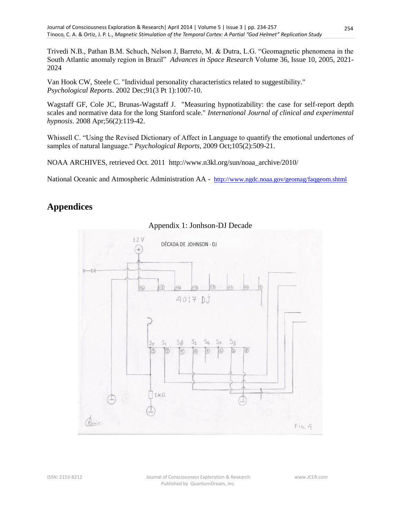Trivedi N.B., Pathan B.M. Schuch, Nelson J, Barreto, M. & Dutra, L.G. "Geomagnetic phenomena in the South Atlantic anomaly region in Brazil" *Advances in Space Research* Volume 36, Issue 10, 2005, 2021- 2024

Van Hook CW, Steele C. "Individual personality characteristics related to suggestibility." *Psychological Reports*. 2002 Dec;91(3 Pt 1):1007-10.

Wagstaff GF, Cole JC, Brunas-Wagstaff J. "Measuring hypnotizability: the case for self-report depth scales and normative data for the long Stanford scale." *International Journal of clinical and experimental hypnosis*. 2008 Apr;56(2):119-42.

Whissell C. "Using the Revised Dictionary of Affect in Language to quantify the emotional undertones of samples of natural language." *Psychological Reports*, 2009 Oct;105(2):509-21.

NOAA ARCHIVES, retrieved Oct. 2011 http://www.n3kl.org/sun/noaa\_archive/2010/

National Oceanic and Atmospheric Administration AA - <http://www.ngdc.noaa.gov/geomag/faqgeom.shtml>

## **Appendices**



#### Appendix 1: Jonhson-DJ Decade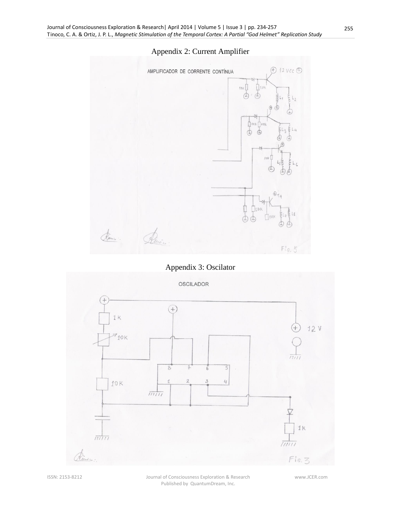### Appendix 2: Current Amplifier



## Appendix 3: Oscilator



ISSN: 2153-8212 Journal of Consciousness Exploration & Research Published by QuantumDream, Inc.

www.JCER.com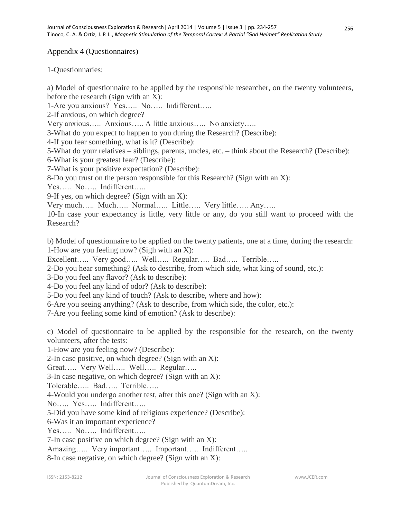### Appendix 4 (Questionnaires)

1-Questionnaries:

a) Model of questionnaire to be applied by the responsible researcher, on the twenty volunteers, before the research (sign with an X):

1-Are you anxious? Yes….. No….. Indifferent…..

2-If anxious, on which degree?

Very anxious….. Anxious….. A little anxious….. No anxiety…..

3-What do you expect to happen to you during the Research? (Describe):

4-If you fear something, what is it? (Describe):

5-What do your relatives – siblings, parents, uncles, etc. – think about the Research? (Describe): 6-What is your greatest fear? (Describe):

7-What is your positive expectation? (Describe):

8-Do you trust on the person responsible for this Research? (Sign with an X):

Yes….. No….. Indifferent…..

9-If yes, on which degree? (Sign with an X):

Very much….. Much….. Normal….. Little….. Very little….. Any…..

10-In case your expectancy is little, very little or any, do you still want to proceed with the Research?

b) Model of questionnaire to be applied on the twenty patients, one at a time, during the research: 1-How are you feeling now? (Sigh with an X):

Excellent….. Very good….. Well….. Regular….. Bad….. Terrible…..

2-Do you hear something? (Ask to describe, from which side, what king of sound, etc.):

3-Do you feel any flavor? (Ask to describe):

4-Do you feel any kind of odor? (Ask to describe):

5-Do you feel any kind of touch? (Ask to describe, where and how):

6-Are you seeing anything? (Ask to describe, from which side, the color, etc.):

7-Are you feeling some kind of emotion? (Ask to describe):

c) Model of questionnaire to be applied by the responsible for the research, on the twenty volunteers, after the tests:

1-How are you feeling now? (Describe):

2-In case positive, on which degree? (Sign with an X):

Great….. Very Well….. Well….. Regular…..

3-In case negative, on which degree? (Sign with an X):

Tolerable….. Bad….. Terrible…..

4-Would you undergo another test, after this one? (Sign with an X):

No….. Yes….. Indifferent…..

5-Did you have some kind of religious experience? (Describe):

6-Was it an important experience?

Yes….. No….. Indifferent…..

7-In case positive on which degree? (Sign with an X):

Amazing….. Very important….. Important….. Indifferent…..

8-In case negative, on which degree? (Sign with an X):